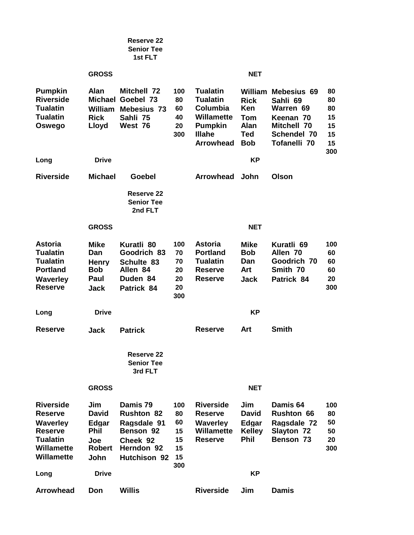|                                                                                                                        |                                                                                    | <b>Reserve 22</b><br><b>Senior Tee</b><br>1st FLT                                                   |                                                |                                                                                                                     |                                                                      |                                                                                                                |                                               |
|------------------------------------------------------------------------------------------------------------------------|------------------------------------------------------------------------------------|-----------------------------------------------------------------------------------------------------|------------------------------------------------|---------------------------------------------------------------------------------------------------------------------|----------------------------------------------------------------------|----------------------------------------------------------------------------------------------------------------|-----------------------------------------------|
|                                                                                                                        | <b>GROSS</b>                                                                       |                                                                                                     |                                                |                                                                                                                     | <b>NET</b>                                                           |                                                                                                                |                                               |
| <b>Pumpkin</b><br><b>Riverside</b><br><b>Tualatin</b><br><b>Tualatin</b><br>Oswego                                     | Alan<br>William<br><b>Rick</b><br>Lloyd                                            | <b>Mitchell 72</b><br><b>Michael Goebel 73</b><br>Mebesius 73<br>Sahli 75<br>West 76                | 100<br>80<br>60<br>40<br>20<br>300             | <b>Tualatin</b><br><b>Tualatin</b><br>Columbia<br>Willamette<br><b>Pumpkin</b><br><b>Illahe</b><br><b>Arrowhead</b> | <b>Rick</b><br><b>Ken</b><br>Tom<br>Alan<br><b>Ted</b><br><b>Bob</b> | <b>William Mebesius 69</b><br>Sahli 69<br>Warren 69<br>Keenan 70<br>Mitchell 70<br>Schendel 70<br>Tofanelli 70 | 80<br>80<br>80<br>15<br>15<br>15<br>15<br>300 |
| Long                                                                                                                   | <b>Drive</b>                                                                       |                                                                                                     |                                                |                                                                                                                     | KP                                                                   |                                                                                                                |                                               |
| <b>Riverside</b>                                                                                                       | <b>Michael</b>                                                                     | Goebel                                                                                              |                                                | Arrowhead                                                                                                           | John                                                                 | <b>Olson</b>                                                                                                   |                                               |
|                                                                                                                        |                                                                                    | Reserve 22<br><b>Senior Tee</b><br>2nd FLT                                                          |                                                |                                                                                                                     |                                                                      |                                                                                                                |                                               |
|                                                                                                                        | <b>GROSS</b>                                                                       |                                                                                                     |                                                |                                                                                                                     | <b>NET</b>                                                           |                                                                                                                |                                               |
| <b>Astoria</b><br><b>Tualatin</b><br><b>Tualatin</b><br><b>Portland</b><br><b>Waverley</b><br><b>Reserve</b>           | Mike<br>Dan<br><b>Henry</b><br><b>Bob</b><br>Paul<br>Jack                          | Kuratli 80<br>Goodrich 83<br>Schulte 83<br>Allen 84<br>Duden 84<br>Patrick 84                       | 100<br>70<br>70<br>20<br>20<br>20<br>300       | <b>Astoria</b><br><b>Portland</b><br><b>Tualatin</b><br><b>Reserve</b><br><b>Reserve</b>                            | <b>Mike</b><br><b>Bob</b><br>Dan<br>Art<br>Jack                      | Kuratli 69<br>Allen 70<br>Goodrich 70<br>Smith 70<br>Patrick 84                                                | 100<br>60<br>60<br>60<br>20<br>300            |
| Long                                                                                                                   | <b>Drive</b>                                                                       |                                                                                                     |                                                |                                                                                                                     | KP                                                                   |                                                                                                                |                                               |
| <b>Reserve</b>                                                                                                         | Jack                                                                               | <b>Patrick</b>                                                                                      |                                                | <b>Reserve</b>                                                                                                      | Art                                                                  | <b>Smith</b>                                                                                                   |                                               |
|                                                                                                                        |                                                                                    | Reserve 22<br><b>Senior Tee</b><br>3rd FLT                                                          |                                                |                                                                                                                     |                                                                      |                                                                                                                |                                               |
|                                                                                                                        | <b>GROSS</b>                                                                       |                                                                                                     |                                                |                                                                                                                     | <b>NET</b>                                                           |                                                                                                                |                                               |
| <b>Riverside</b><br><b>Reserve</b><br><b>Waverley</b><br><b>Reserve</b><br><b>Tualatin</b><br>Willamette<br>Willamette | Jim<br><b>David</b><br>Edgar<br><b>Phil</b><br>Joe<br><b>Robert</b><br><b>John</b> | Damis 79<br><b>Rushton 82</b><br>Ragsdale 91<br>Benson 92<br>Cheek 92<br>Herndon 92<br>Hutchison 92 | 100<br>80<br>60<br>15<br>15<br>15<br>15<br>300 | <b>Riverside</b><br><b>Reserve</b><br><b>Waverley</b><br>Willamette<br><b>Reserve</b>                               | Jim<br><b>David</b><br>Edgar<br><b>Kelley</b><br><b>Phil</b>         | Damis 64<br><b>Rushton 66</b><br>Ragsdale 72<br><b>Slayton 72</b><br>Benson 73                                 | 100<br>80<br>50<br>50<br>20<br>300            |
| Long                                                                                                                   | <b>Drive</b>                                                                       |                                                                                                     |                                                |                                                                                                                     | <b>KP</b>                                                            |                                                                                                                |                                               |
| <b>Arrowhead</b>                                                                                                       | Don                                                                                | <b>Willis</b>                                                                                       |                                                | <b>Riverside</b>                                                                                                    | Jim                                                                  | <b>Damis</b>                                                                                                   |                                               |